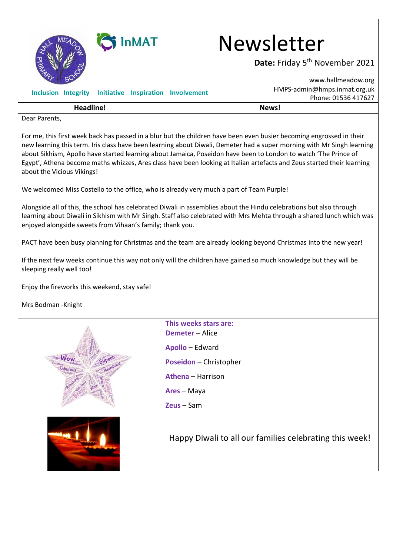

## **GIINMAT** Newsletter

**Date:** Friday 5<sup>th</sup> November 2021

|                                                                                                                                                                                                                                                                                                                                                                                                                                                                                                                           | www.hallmeadow.org                                      |  |
|---------------------------------------------------------------------------------------------------------------------------------------------------------------------------------------------------------------------------------------------------------------------------------------------------------------------------------------------------------------------------------------------------------------------------------------------------------------------------------------------------------------------------|---------------------------------------------------------|--|
| <b>Inclusion Integrity</b><br>Initiative Inspiration Involvement                                                                                                                                                                                                                                                                                                                                                                                                                                                          | HMPS-admin@hmps.inmat.org.uk                            |  |
|                                                                                                                                                                                                                                                                                                                                                                                                                                                                                                                           | Phone: 01536 417627                                     |  |
| <b>Headline!</b>                                                                                                                                                                                                                                                                                                                                                                                                                                                                                                          | News!                                                   |  |
| Dear Parents,                                                                                                                                                                                                                                                                                                                                                                                                                                                                                                             |                                                         |  |
| For me, this first week back has passed in a blur but the children have been even busier becoming engrossed in their<br>new learning this term. Iris class have been learning about Diwali, Demeter had a super morning with Mr Singh learning<br>about Sikhism, Apollo have started learning about Jamaica, Poseidon have been to London to watch 'The Prince of<br>Egypt', Athena become maths whizzes, Ares class have been looking at Italian artefacts and Zeus started their learning<br>about the Vicious Vikings! |                                                         |  |
| We welcomed Miss Costello to the office, who is already very much a part of Team Purple!                                                                                                                                                                                                                                                                                                                                                                                                                                  |                                                         |  |
| Alongside all of this, the school has celebrated Diwali in assemblies about the Hindu celebrations but also through<br>learning about Diwali in Sikhism with Mr Singh. Staff also celebrated with Mrs Mehta through a shared lunch which was<br>enjoyed alongside sweets from Vihaan's family; thank you.                                                                                                                                                                                                                 |                                                         |  |
| PACT have been busy planning for Christmas and the team are already looking beyond Christmas into the new year!                                                                                                                                                                                                                                                                                                                                                                                                           |                                                         |  |
| If the next few weeks continue this way not only will the children have gained so much knowledge but they will be<br>sleeping really well too!                                                                                                                                                                                                                                                                                                                                                                            |                                                         |  |
| Enjoy the fireworks this weekend, stay safe!                                                                                                                                                                                                                                                                                                                                                                                                                                                                              |                                                         |  |
| Mrs Bodman - Knight                                                                                                                                                                                                                                                                                                                                                                                                                                                                                                       |                                                         |  |
|                                                                                                                                                                                                                                                                                                                                                                                                                                                                                                                           | This weeks stars are:                                   |  |
|                                                                                                                                                                                                                                                                                                                                                                                                                                                                                                                           | <b>Demeter</b> - Alice                                  |  |
|                                                                                                                                                                                                                                                                                                                                                                                                                                                                                                                           | Apollo - Edward                                         |  |
|                                                                                                                                                                                                                                                                                                                                                                                                                                                                                                                           | Poseidon - Christopher                                  |  |
|                                                                                                                                                                                                                                                                                                                                                                                                                                                                                                                           | <b>Athena - Harrison</b>                                |  |
|                                                                                                                                                                                                                                                                                                                                                                                                                                                                                                                           | Ares - Maya                                             |  |
|                                                                                                                                                                                                                                                                                                                                                                                                                                                                                                                           | Zeus-Sam                                                |  |
|                                                                                                                                                                                                                                                                                                                                                                                                                                                                                                                           | Happy Diwali to all our families celebrating this week! |  |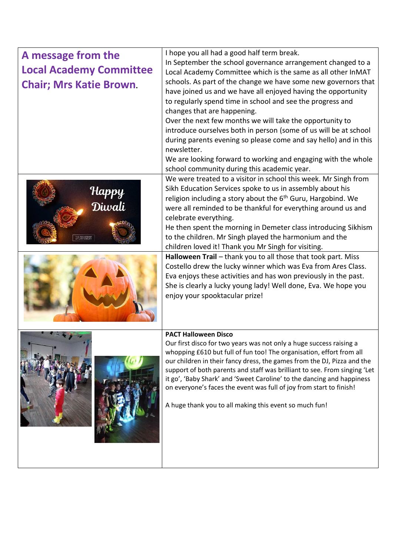| A message from the             | I hope you all had a good half term break.                                                                                                                                                                                                                                                                                                                                                                                                                                                                                                                                                                                                                                                                                                                                                     |  |
|--------------------------------|------------------------------------------------------------------------------------------------------------------------------------------------------------------------------------------------------------------------------------------------------------------------------------------------------------------------------------------------------------------------------------------------------------------------------------------------------------------------------------------------------------------------------------------------------------------------------------------------------------------------------------------------------------------------------------------------------------------------------------------------------------------------------------------------|--|
| <b>Local Academy Committee</b> | In September the school governance arrangement changed to a                                                                                                                                                                                                                                                                                                                                                                                                                                                                                                                                                                                                                                                                                                                                    |  |
| <b>Chair; Mrs Katie Brown.</b> | Local Academy Committee which is the same as all other InMAT<br>schools. As part of the change we have some new governors that<br>have joined us and we have all enjoyed having the opportunity<br>to regularly spend time in school and see the progress and<br>changes that are happening.<br>Over the next few months we will take the opportunity to<br>introduce ourselves both in person (some of us will be at school<br>during parents evening so please come and say hello) and in this<br>newsletter.<br>We are looking forward to working and engaging with the whole<br>school community during this academic year.                                                                                                                                                                |  |
| Нарру<br>Diwali                | We were treated to a visitor in school this week. Mr Singh from<br>Sikh Education Services spoke to us in assembly about his<br>religion including a story about the 6 <sup>th</sup> Guru, Hargobind. We<br>were all reminded to be thankful for everything around us and<br>celebrate everything.<br>He then spent the morning in Demeter class introducing Sikhism<br>to the children. Mr Singh played the harmonium and the<br>children loved it! Thank you Mr Singh for visiting.<br>Halloween Trail - thank you to all those that took part. Miss<br>Costello drew the lucky winner which was Eva from Ares Class.<br>Eva enjoys these activities and has won previously in the past.<br>She is clearly a lucky young lady! Well done, Eva. We hope you<br>enjoy your spooktacular prize! |  |
|                                | <b>PACT Halloween Disco</b><br>Our first disco for two years was not only a huge success raising a<br>whopping £610 but full of fun too! The organisation, effort from all<br>our children in their fancy dress, the games from the DJ, Pizza and the<br>support of both parents and staff was brilliant to see. From singing 'Let<br>it go', 'Baby Shark' and 'Sweet Caroline' to the dancing and happiness<br>on everyone's faces the event was full of joy from start to finish!<br>A huge thank you to all making this event so much fun!                                                                                                                                                                                                                                                  |  |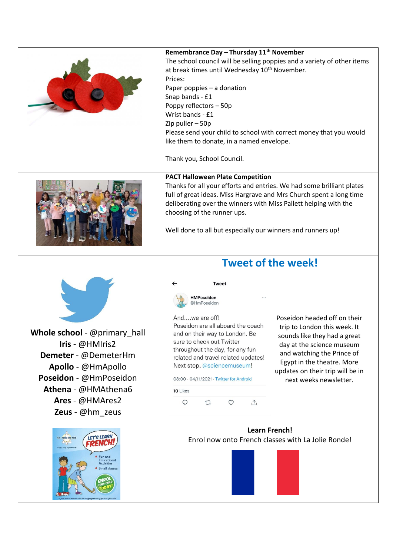|                                                                                                                                                                                      | Remembrance Day - Thursday 11 <sup>th</sup> November<br>The school council will be selling poppies and a variety of other items<br>at break times until Wednesday 10 <sup>th</sup> November.<br>Prices:<br>Paper poppies - a donation<br>Snap bands - £1<br>Poppy reflectors - 50p<br>Wrist bands - £1<br>Zip puller - 50p<br>Please send your child to school with correct money that you would<br>like them to donate, in a named envelope.<br>Thank you, School Council. |                                                                                                                                                                                                                                                     |
|--------------------------------------------------------------------------------------------------------------------------------------------------------------------------------------|-----------------------------------------------------------------------------------------------------------------------------------------------------------------------------------------------------------------------------------------------------------------------------------------------------------------------------------------------------------------------------------------------------------------------------------------------------------------------------|-----------------------------------------------------------------------------------------------------------------------------------------------------------------------------------------------------------------------------------------------------|
|                                                                                                                                                                                      | <b>PACT Halloween Plate Competition</b><br>Thanks for all your efforts and entries. We had some brilliant plates<br>full of great ideas. Miss Hargrave and Mrs Church spent a long time<br>deliberating over the winners with Miss Pallett helping with the<br>choosing of the runner ups.<br>Well done to all but especially our winners and runners up!                                                                                                                   |                                                                                                                                                                                                                                                     |
| Whole school - @primary_hall<br>Iris - @HMIris2<br>Demeter - @DemeterHm<br>Apollo - @HmApollo<br>Poseidon - @HmPoseidon<br>Athena - @HMAthena6<br>Ares - @HMAres2<br>Zeus - @hm zeus | <b>Tweet of the week!</b><br><b>Tweet</b><br>HMPoseidon<br>@HmPoseidon<br>Andwe are off!<br>Poseidon are all aboard the coach<br>and on their way to London. Be<br>sure to check out Twitter<br>throughout the day, for any fun<br>related and travel related updates!<br>Next stop, @sciencemuseum!<br>08:00 · 04/11/2021 · Twitter for Android<br>10 Likes<br>$\circ$<br>$\triangle$<br>$\mathbb{C}$<br>$\circ$                                                           | Poseidon headed off on their<br>trip to London this week. It<br>sounds like they had a great<br>day at the science museum<br>and watching the Prince of<br>Egypt in the theatre. More<br>updates on their trip will be in<br>next weeks newsletter. |
| LET'S LEARN<br>La Jolie Ronde<br>RENCI<br>Fun and<br><b>Educational</b><br><b>Activities</b><br>Small classes                                                                        | <b>Learn French!</b>                                                                                                                                                                                                                                                                                                                                                                                                                                                        | Enrol now onto French classes with La Jolie Ronde!                                                                                                                                                                                                  |